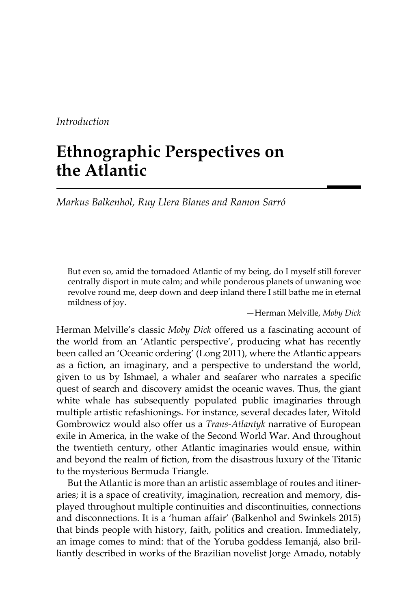# *Introduction*

# **Ethnographic Perspectives on the Atlantic**

*Markus Balkenhol, Ruy Llera Blanes and Ramon Sarró*

But even so, amid the tornadoed Atlantic of my being, do I myself still forever centrally disport in mute calm; and while ponderous planets of unwaning woe revolve round me, deep down and deep inland there I still bathe me in eternal mildness of joy.

—Herman Melville, *Moby Dick*

Herman Melville's classic *Moby Dick* offered us a fascinating account of the world from an 'Atlantic perspective', producing what has recently been called an 'Oceanic ordering' (Long 2011), where the Atlantic appears as a fiction, an imaginary, and a perspective to understand the world, given to us by Ishmael, a whaler and seafarer who narrates a specifc quest of search and discovery amidst the oceanic waves. Thus, the giant white whale has subsequently populated public imaginaries through multiple artistic refashionings. For instance, several decades later, Witold Gombrowicz would also offer us a *Trans-Atlantyk* narrative of European exile in America, in the wake of the Second World War. And throughout the twentieth century, other Atlantic imaginaries would ensue, within and beyond the realm of fiction, from the disastrous luxury of the Titanic to the mysterious Bermuda Triangle.

But the Atlantic is more than an artistic assemblage of routes and itineraries; it is a space of creativity, imagination, recreation and memory, displayed throughout multiple continuities and discontinuities, connections and disconnections. It is a 'human afair' (Balkenhol and Swinkels 2015) that binds people with history, faith, politics and creation. Immediately, an image comes to mind: that of the Yoruba goddess Iemanjá, also brilliantly described in works of the Brazilian novelist Jorge Amado, notably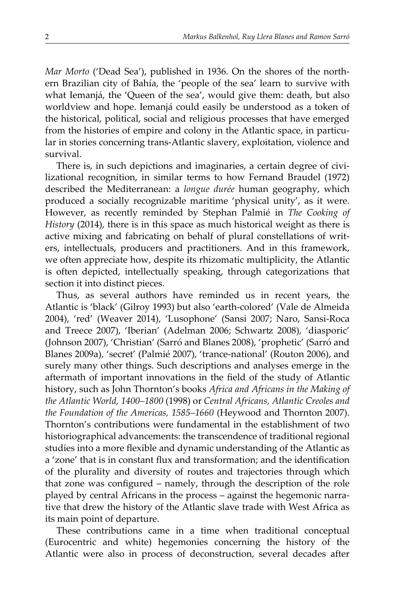*Mar Morto* ('Dead Sea'), published in 1936. On the shores of the northern Brazilian city of Bahía, the 'people of the sea' learn to survive with what Iemanjá, the 'Queen of the sea', would give them: death, but also worldview and hope. Iemanjá could easily be understood as a token of the historical, political, social and religious processes that have emerged from the histories of empire and colony in the Atlantic space, in particular in stories concerning trans-Atlantic slavery, exploitation, violence and survival.

There is, in such depictions and imaginaries, a certain degree of civilizational recognition, in similar terms to how Fernand Braudel (1972) described the Mediterranean: a *longue durée* human geography, which produced a socially recognizable maritime 'physical unity', as it were. However, as recently reminded by Stephan Palmié in *The Cooking of History* (2014), there is in this space as much historical weight as there is active mixing and fabricating on behalf of plural constellations of writers, intellectuals, producers and practitioners. And in this framework, we often appreciate how, despite its rhizomatic multiplicity, the Atlantic is often depicted, intellectually speaking, through categorizations that section it into distinct pieces.

Thus, as several authors have reminded us in recent years, the Atlantic is 'black' (Gilroy 1993) but also 'earth-colored' (Vale de Almeida 2004), 'red' (Weaver 2014), 'Lusophone' (Sansi 2007; Naro, Sansi-Roca and Treece 2007), 'Iberian' (Adelman 2006; Schwartz 2008), 'diasporic' (Johnson 2007), 'Christian' (Sarró and Blanes 2008), 'prophetic' (Sarró and Blanes 2009a), 'secret' (Palmié 2007), 'trance-national' (Routon 2006), and surely many other things. Such descriptions and analyses emerge in the aftermath of important innovations in the feld of the study of Atlantic history, such as John Thornton's books *Africa and Africans in the Making of the Atlantic World, 1400–1800* (1998) or *Central Africans, Atlantic Creoles and the Foundation of the Americas, 1585–1660* (Heywood and Thornton 2007). Thornton's contributions were fundamental in the establishment of two historiographical advancements: the transcendence of traditional regional studies into a more fexible and dynamic understanding of the Atlantic as a 'zone' that is in constant fux and transformation; and the identifcation of the plurality and diversity of routes and trajectories through which that zone was confgured – namely, through the description of the role played by central Africans in the process – against the hegemonic narrative that drew the history of the Atlantic slave trade with West Africa as its main point of departure.

These contributions came in a time when traditional conceptual (Eurocentric and white) hegemonies concerning the history of the Atlantic were also in process of deconstruction, several decades after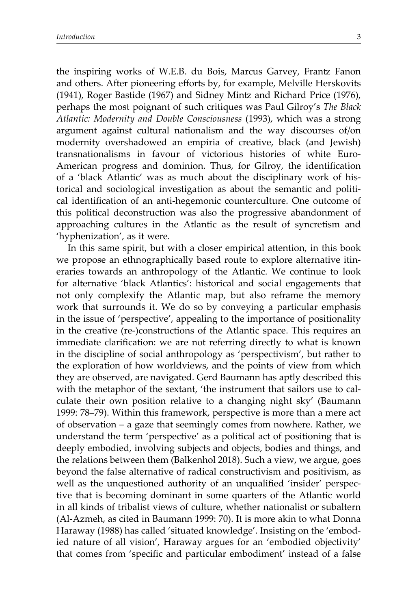the inspiring works of W.E.B. du Bois, Marcus Garvey, Frantz Fanon and others. After pioneering eforts by, for example, Melville Herskovits (1941), Roger Bastide (1967) and Sidney Mintz and Richard Price (1976), perhaps the most poignant of such critiques was Paul Gilroy's *The Black Atlantic: Modernity and Double Consciousness* (1993), which was a strong argument against cultural nationalism and the way discourses of/on modernity overshadowed an empiria of creative, black (and Jewish) transnationalisms in favour of victorious histories of white Euro-American progress and dominion. Thus, for Gilroy, the identifcation of a 'black Atlantic' was as much about the disciplinary work of historical and sociological investigation as about the semantic and political identifcation of an anti-hegemonic counterculture. One outcome of this political deconstruction was also the progressive abandonment of approaching cultures in the Atlantic as the result of syncretism and 'hyphenization', as it were.

In this same spirit, but with a closer empirical atention, in this book we propose an ethnographically based route to explore alternative itineraries towards an anthropology of the Atlantic. We continue to look for alternative 'black Atlantics': historical and social engagements that not only complexify the Atlantic map, but also reframe the memory work that surrounds it. We do so by conveying a particular emphasis in the issue of 'perspective', appealing to the importance of positionality in the creative (re-)constructions of the Atlantic space. This requires an immediate clarifcation: we are not referring directly to what is known in the discipline of social anthropology as 'perspectivism', but rather to the exploration of how worldviews, and the points of view from which they are observed, are navigated. Gerd Baumann has aptly described this with the metaphor of the sextant, 'the instrument that sailors use to calculate their own position relative to a changing night sky' (Baumann 1999: 78–79). Within this framework, perspective is more than a mere act of observation – a gaze that seemingly comes from nowhere. Rather, we understand the term 'perspective' as a political act of positioning that is deeply embodied, involving subjects and objects, bodies and things, and the relations between them (Balkenhol 2018). Such a view, we argue, goes beyond the false alternative of radical constructivism and positivism, as well as the unquestioned authority of an unqualifed 'insider' perspective that is becoming dominant in some quarters of the Atlantic world in all kinds of tribalist views of culture, whether nationalist or subaltern (Al-Azmeh, as cited in Baumann 1999: 70). It is more akin to what Donna Haraway (1988) has called 'situated knowledge'. Insisting on the 'embodied nature of all vision', Haraway argues for an 'embodied objectivity' that comes from 'specifc and particular embodiment' instead of a false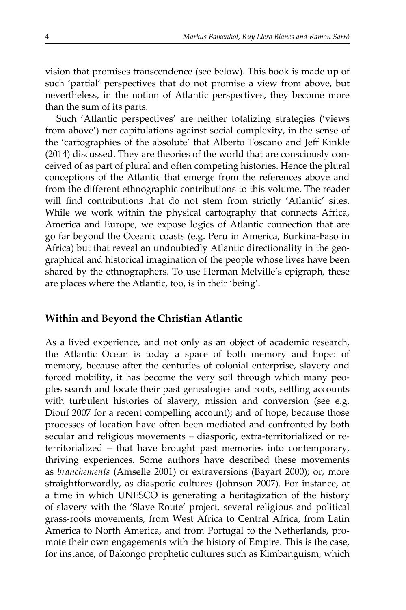vision that promises transcendence (see below). This book is made up of such 'partial' perspectives that do not promise a view from above, but nevertheless, in the notion of Atlantic perspectives, they become more than the sum of its parts.

Such 'Atlantic perspectives' are neither totalizing strategies ('views from above') nor capitulations against social complexity, in the sense of the 'cartographies of the absolute' that Alberto Toscano and Jeff Kinkle (2014) discussed. They are theories of the world that are consciously conceived of as part of plural and often competing histories. Hence the plural conceptions of the Atlantic that emerge from the references above and from the diferent ethnographic contributions to this volume. The reader will find contributions that do not stem from strictly 'Atlantic' sites. While we work within the physical cartography that connects Africa, America and Europe, we expose logics of Atlantic connection that are go far beyond the Oceanic coasts (e.g. Peru in America, Burkina-Faso in Africa) but that reveal an undoubtedly Atlantic directionality in the geographical and historical imagination of the people whose lives have been shared by the ethnographers. To use Herman Melville's epigraph, these are places where the Atlantic, too, is in their 'being'.

## **Within and Beyond the Christian Atlantic**

As a lived experience, and not only as an object of academic research, the Atlantic Ocean is today a space of both memory and hope: of memory, because after the centuries of colonial enterprise, slavery and forced mobility, it has become the very soil through which many peoples search and locate their past genealogies and roots, setling accounts with turbulent histories of slavery, mission and conversion (see e.g. Diouf 2007 for a recent compelling account); and of hope, because those processes of location have often been mediated and confronted by both secular and religious movements – diasporic, extra-territorialized or reterritorialized – that have brought past memories into contemporary, thriving experiences. Some authors have described these movements as *branchements* (Amselle 2001) or extraversions (Bayart 2000); or, more straightforwardly, as diasporic cultures (Johnson 2007). For instance, at a time in which UNESCO is generating a heritagization of the history of slavery with the 'Slave Route' project, several religious and political grass-roots movements, from West Africa to Central Africa, from Latin America to North America, and from Portugal to the Netherlands, promote their own engagements with the history of Empire. This is the case, for instance, of Bakongo prophetic cultures such as Kimbanguism, which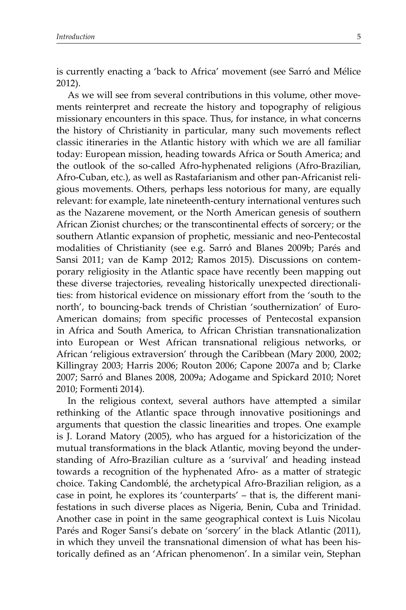is currently enacting a 'back to Africa' movement (see Sarró and Mélice 2012).

As we will see from several contributions in this volume, other movements reinterpret and recreate the history and topography of religious missionary encounters in this space. Thus, for instance, in what concerns the history of Christianity in particular, many such movements refect classic itineraries in the Atlantic history with which we are all familiar today: European mission, heading towards Africa or South America; and the outlook of the so-called Afro-hyphenated religions (Afro-Brazilian, Afro-Cuban, etc.), as well as Rastafarianism and other pan-Africanist religious movements. Others, perhaps less notorious for many, are equally relevant: for example, late nineteenth-century international ventures such as the Nazarene movement, or the North American genesis of southern African Zionist churches; or the transcontinental efects of sorcery; or the southern Atlantic expansion of prophetic, messianic and neo-Pentecostal modalities of Christianity (see e.g. Sarró and Blanes 2009b; Parés and Sansi 2011; van de Kamp 2012; Ramos 2015). Discussions on contemporary religiosity in the Atlantic space have recently been mapping out these diverse trajectories, revealing historically unexpected directionalities: from historical evidence on missionary efort from the 'south to the north', to bouncing-back trends of Christian 'southernization' of Euro-American domains; from specifc processes of Pentecostal expansion in Africa and South America, to African Christian transnationalization into European or West African transnational religious networks, or African 'religious extraversion' through the Caribbean (Mary 2000, 2002; Killingray 2003; Harris 2006; Routon 2006; Capone 2007a and b; Clarke 2007; Sarró and Blanes 2008, 2009a; Adogame and Spickard 2010; Noret 2010; Formenti 2014).

In the religious context, several authors have atempted a similar rethinking of the Atlantic space through innovative positionings and arguments that question the classic linearities and tropes. One example is J. Lorand Matory (2005), who has argued for a historicization of the mutual transformations in the black Atlantic, moving beyond the understanding of Afro-Brazilian culture as a 'survival' and heading instead towards a recognition of the hyphenated Afro- as a mater of strategic choice. Taking Candomblé, the archetypical Afro-Brazilian religion, as a case in point, he explores its 'counterparts' – that is, the diferent manifestations in such diverse places as Nigeria, Benin, Cuba and Trinidad. Another case in point in the same geographical context is Luis Nicolau Parés and Roger Sansi's debate on 'sorcery' in the black Atlantic (2011), in which they unveil the transnational dimension of what has been historically defned as an 'African phenomenon'. In a similar vein, Stephan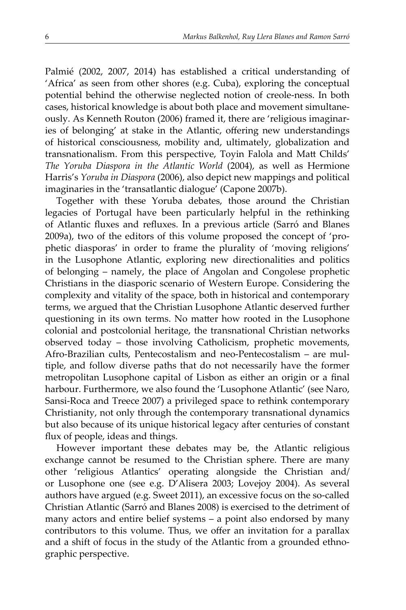Palmié (2002, 2007, 2014) has established a critical understanding of 'Africa' as seen from other shores (e.g. Cuba), exploring the conceptual potential behind the otherwise neglected notion of creole-ness. In both cases, historical knowledge is about both place and movement simultaneously. As Kenneth Routon (2006) framed it, there are 'religious imaginaries of belonging' at stake in the Atlantic, offering new understandings of historical consciousness, mobility and, ultimately, globalization and transnationalism. From this perspective, Toyin Falola and Matt Childs' *The Yoruba Diaspora in the Atlantic World* (2004), as well as Hermione Harris's *Yoruba in Diaspora* (2006), also depict new mappings and political imaginaries in the 'transatlantic dialogue' (Capone 2007b).

Together with these Yoruba debates, those around the Christian legacies of Portugal have been particularly helpful in the rethinking of Atlantic fuxes and refuxes. In a previous article (Sarró and Blanes 2009a), two of the editors of this volume proposed the concept of 'prophetic diasporas' in order to frame the plurality of 'moving religions' in the Lusophone Atlantic, exploring new directionalities and politics of belonging – namely, the place of Angolan and Congolese prophetic Christians in the diasporic scenario of Western Europe. Considering the complexity and vitality of the space, both in historical and contemporary terms, we argued that the Christian Lusophone Atlantic deserved further questioning in its own terms. No mater how rooted in the Lusophone colonial and postcolonial heritage, the transnational Christian networks observed today – those involving Catholicism, prophetic movements, Afro-Brazilian cults, Pentecostalism and neo-Pentecostalism – are multiple, and follow diverse paths that do not necessarily have the former metropolitan Lusophone capital of Lisbon as either an origin or a fnal harbour. Furthermore, we also found the 'Lusophone Atlantic' (see Naro, Sansi-Roca and Treece 2007) a privileged space to rethink contemporary Christianity, not only through the contemporary transnational dynamics but also because of its unique historical legacy after centuries of constant fux of people, ideas and things.

However important these debates may be, the Atlantic religious exchange cannot be resumed to the Christian sphere. There are many other 'religious Atlantics' operating alongside the Christian and/ or Lusophone one (see e.g. D'Alisera 2003; Lovejoy 2004). As several authors have argued (e.g. Sweet 2011), an excessive focus on the so-called Christian Atlantic (Sarró and Blanes 2008) is exercised to the detriment of many actors and entire belief systems – a point also endorsed by many contributors to this volume. Thus, we offer an invitation for a parallax and a shift of focus in the study of the Atlantic from a grounded ethnographic perspective.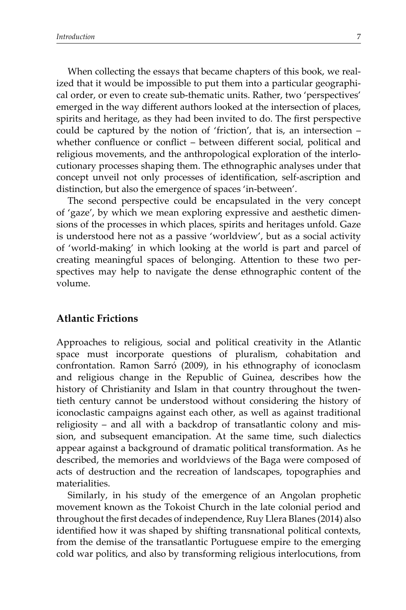When collecting the essays that became chapters of this book, we realized that it would be impossible to put them into a particular geographical order, or even to create sub-thematic units. Rather, two 'perspectives' emerged in the way diferent authors looked at the intersection of places, spirits and heritage, as they had been invited to do. The first perspective could be captured by the notion of 'friction', that is, an intersection – whether confluence or conflict – between different social, political and religious movements, and the anthropological exploration of the interlocutionary processes shaping them. The ethnographic analyses under that concept unveil not only processes of identifcation, self-ascription and distinction, but also the emergence of spaces 'in-between'.

The second perspective could be encapsulated in the very concept of 'gaze', by which we mean exploring expressive and aesthetic dimensions of the processes in which places, spirits and heritages unfold. Gaze is understood here not as a passive 'worldview', but as a social activity of 'world-making' in which looking at the world is part and parcel of creating meaningful spaces of belonging. Atention to these two perspectives may help to navigate the dense ethnographic content of the volume.

#### **Atlantic Frictions**

Approaches to religious, social and political creativity in the Atlantic space must incorporate questions of pluralism, cohabitation and confrontation. Ramon Sarró (2009), in his ethnography of iconoclasm and religious change in the Republic of Guinea, describes how the history of Christianity and Islam in that country throughout the twentieth century cannot be understood without considering the history of iconoclastic campaigns against each other, as well as against traditional religiosity – and all with a backdrop of transatlantic colony and mission, and subsequent emancipation. At the same time, such dialectics appear against a background of dramatic political transformation. As he described, the memories and worldviews of the Baga were composed of acts of destruction and the recreation of landscapes, topographies and materialities.

Similarly, in his study of the emergence of an Angolan prophetic movement known as the Tokoist Church in the late colonial period and throughout the frst decades of independence, Ruy Llera Blanes (2014) also identifed how it was shaped by shifting transnational political contexts, from the demise of the transatlantic Portuguese empire to the emerging cold war politics, and also by transforming religious interlocutions, from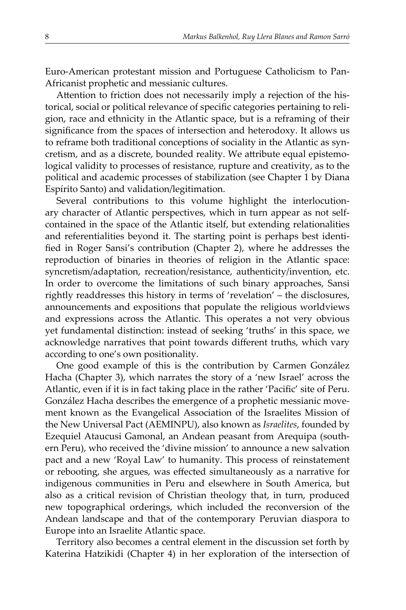Euro-American protestant mission and Portuguese Catholicism to Pan-Africanist prophetic and messianic cultures.

Atention to friction does not necessarily imply a rejection of the historical, social or political relevance of specifc categories pertaining to religion, race and ethnicity in the Atlantic space, but is a reframing of their signifcance from the spaces of intersection and heterodoxy. It allows us to reframe both traditional conceptions of sociality in the Atlantic as syncretism, and as a discrete, bounded reality. We atribute equal epistemological validity to processes of resistance, rupture and creativity, as to the political and academic processes of stabilization (see Chapter 1 by Diana Espírito Santo) and validation/legitimation.

Several contributions to this volume highlight the interlocutionary character of Atlantic perspectives, which in turn appear as not selfcontained in the space of the Atlantic itself, but extending relationalities and referentialities beyond it. The starting point is perhaps best identifed in Roger Sansi's contribution (Chapter 2), where he addresses the reproduction of binaries in theories of religion in the Atlantic space: syncretism/adaptation, recreation/resistance, authenticity/invention, etc. In order to overcome the limitations of such binary approaches, Sansi rightly readdresses this history in terms of 'revelation' – the disclosures, announcements and expositions that populate the religious worldviews and expressions across the Atlantic. This operates a not very obvious yet fundamental distinction: instead of seeking 'truths' in this space, we acknowledge narratives that point towards diferent truths, which vary according to one's own positionality.

One good example of this is the contribution by Carmen González Hacha (Chapter 3), which narrates the story of a 'new Israel' across the Atlantic, even if it is in fact taking place in the rather 'Pacifc' site of Peru. González Hacha describes the emergence of a prophetic messianic movement known as the Evangelical Association of the Israelites Mission of the New Universal Pact (AEMINPU), also known as *Israelites*, founded by Ezequiel Ataucusi Gamonal, an Andean peasant from Arequipa (southern Peru), who received the 'divine mission' to announce a new salvation pact and a new 'Royal Law' to humanity. This process of reinstatement or rebooting, she argues, was efected simultaneously as a narrative for indigenous communities in Peru and elsewhere in South America, but also as a critical revision of Christian theology that, in turn, produced new topographical orderings, which included the reconversion of the Andean landscape and that of the contemporary Peruvian diaspora to Europe into an Israelite Atlantic space.

Territory also becomes a central element in the discussion set forth by Katerina Hatzikidi (Chapter 4) in her exploration of the intersection of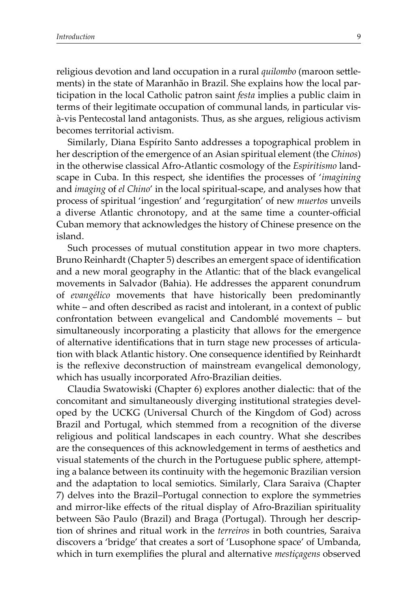religious devotion and land occupation in a rural *quilombo* (maroon setlements) in the state of Maranhão in Brazil. She explains how the local participation in the local Catholic patron saint *festa* implies a public claim in terms of their legitimate occupation of communal lands, in particular visà-vis Pentecostal land antagonists. Thus, as she argues, religious activism becomes territorial activism.

Similarly, Diana Espírito Santo addresses a topographical problem in her description of the emergence of an Asian spiritual element (the *Chinos*) in the otherwise classical Afro-Atlantic cosmology of the *Espiritismo* landscape in Cuba. In this respect, she identifes the processes of '*imagining* and *imaging* of *el Chino*' in the local spiritual-scape, and analyses how that process of spiritual 'ingestion' and 'regurgitation' of new *muertos* unveils a diverse Atlantic chronotopy, and at the same time a counter-official Cuban memory that acknowledges the history of Chinese presence on the island.

Such processes of mutual constitution appear in two more chapters. Bruno Reinhardt (Chapter 5) describes an emergent space of identifcation and a new moral geography in the Atlantic: that of the black evangelical movements in Salvador (Bahia). He addresses the apparent conundrum of *evangélico* movements that have historically been predominantly white – and often described as racist and intolerant, in a context of public confrontation between evangelical and Candomblé movements – but simultaneously incorporating a plasticity that allows for the emergence of alternative identifcations that in turn stage new processes of articulation with black Atlantic history. One consequence identifed by Reinhardt is the reflexive deconstruction of mainstream evangelical demonology, which has usually incorporated Afro-Brazilian deities.

Claudia Swatowiski (Chapter 6) explores another dialectic: that of the concomitant and simultaneously diverging institutional strategies developed by the UCKG (Universal Church of the Kingdom of God) across Brazil and Portugal, which stemmed from a recognition of the diverse religious and political landscapes in each country. What she describes are the consequences of this acknowledgement in terms of aesthetics and visual statements of the church in the Portuguese public sphere, atempting a balance between its continuity with the hegemonic Brazilian version and the adaptation to local semiotics. Similarly, Clara Saraiva (Chapter 7) delves into the Brazil–Portugal connection to explore the symmetries and mirror-like efects of the ritual display of Afro-Brazilian spirituality between São Paulo (Brazil) and Braga (Portugal). Through her description of shrines and ritual work in the *terreiros* in both countries, Saraiva discovers a 'bridge' that creates a sort of 'Lusophone space' of Umbanda, which in turn exemplifes the plural and alternative *mestiçagens* observed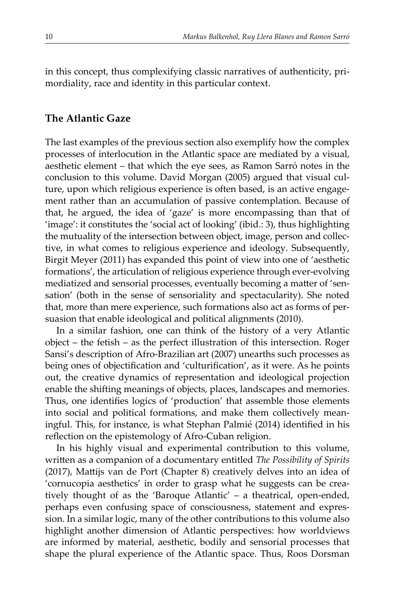in this concept, thus complexifying classic narratives of authenticity, primordiality, race and identity in this particular context.

## **The Atlantic Gaze**

The last examples of the previous section also exemplify how the complex processes of interlocution in the Atlantic space are mediated by a visual, aesthetic element – that which the eye sees, as Ramon Sarró notes in the conclusion to this volume. David Morgan (2005) argued that visual culture, upon which religious experience is often based, is an active engagement rather than an accumulation of passive contemplation. Because of that, he argued, the idea of 'gaze' is more encompassing than that of 'image': it constitutes the 'social act of looking' (ibid.: 3), thus highlighting the mutuality of the intersection between object, image, person and collective, in what comes to religious experience and ideology. Subsequently, Birgit Meyer (2011) has expanded this point of view into one of 'aesthetic formations', the articulation of religious experience through ever-evolving mediatized and sensorial processes, eventually becoming a mater of 'sensation' (both in the sense of sensoriality and spectacularity). She noted that, more than mere experience, such formations also act as forms of persuasion that enable ideological and political alignments (2010).

In a similar fashion, one can think of the history of a very Atlantic object – the fetish – as the perfect illustration of this intersection. Roger Sansi's description of Afro-Brazilian art (2007) unearths such processes as being ones of objectifcation and 'culturifcation', as it were. As he points out, the creative dynamics of representation and ideological projection enable the shifting meanings of objects, places, landscapes and memories. Thus, one identifes logics of 'production' that assemble those elements into social and political formations, and make them collectively meaningful. This, for instance, is what Stephan Palmié (2014) identifed in his reflection on the epistemology of Afro-Cuban religion.

In his highly visual and experimental contribution to this volume, writen as a companion of a documentary entitled *The Possibility of Spirits* (2017), Matijs van de Port (Chapter 8) creatively delves into an idea of 'cornucopia aesthetics' in order to grasp what he suggests can be creatively thought of as the 'Baroque Atlantic' – a theatrical, open-ended, perhaps even confusing space of consciousness, statement and expression. In a similar logic, many of the other contributions to this volume also highlight another dimension of Atlantic perspectives: how worldviews are informed by material, aesthetic, bodily and sensorial processes that shape the plural experience of the Atlantic space. Thus, Roos Dorsman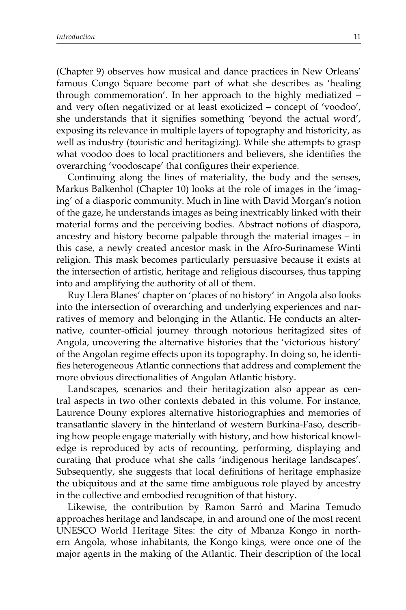(Chapter 9) observes how musical and dance practices in New Orleans' famous Congo Square become part of what she describes as 'healing through commemoration'. In her approach to the highly mediatized – and very often negativized or at least exoticized – concept of 'voodoo', she understands that it signifes something 'beyond the actual word', exposing its relevance in multiple layers of topography and historicity, as well as industry (touristic and heritagizing). While she attempts to grasp what voodoo does to local practitioners and believers, she identifes the overarching 'voodoscape' that confgures their experience.

Continuing along the lines of materiality, the body and the senses, Markus Balkenhol (Chapter 10) looks at the role of images in the 'imaging' of a diasporic community. Much in line with David Morgan's notion of the gaze, he understands images as being inextricably linked with their material forms and the perceiving bodies. Abstract notions of diaspora, ancestry and history become palpable through the material images – in this case, a newly created ancestor mask in the Afro-Surinamese Winti religion. This mask becomes particularly persuasive because it exists at the intersection of artistic, heritage and religious discourses, thus tapping into and amplifying the authority of all of them.

Ruy Llera Blanes' chapter on 'places of no history' in Angola also looks into the intersection of overarching and underlying experiences and narratives of memory and belonging in the Atlantic. He conducts an alternative, counter-official journey through notorious heritagized sites of Angola, uncovering the alternative histories that the 'victorious history' of the Angolan regime efects upon its topography. In doing so, he identifes heterogeneous Atlantic connections that address and complement the more obvious directionalities of Angolan Atlantic history.

Landscapes, scenarios and their heritagization also appear as central aspects in two other contexts debated in this volume. For instance, Laurence Douny explores alternative historiographies and memories of transatlantic slavery in the hinterland of western Burkina-Faso, describing how people engage materially with history, and how historical knowledge is reproduced by acts of recounting, performing, displaying and curating that produce what she calls 'indigenous heritage landscapes'. Subsequently, she suggests that local defnitions of heritage emphasize the ubiquitous and at the same time ambiguous role played by ancestry in the collective and embodied recognition of that history.

Likewise, the contribution by Ramon Sarró and Marina Temudo approaches heritage and landscape, in and around one of the most recent UNESCO World Heritage Sites: the city of Mbanza Kongo in northern Angola, whose inhabitants, the Kongo kings, were once one of the major agents in the making of the Atlantic. Their description of the local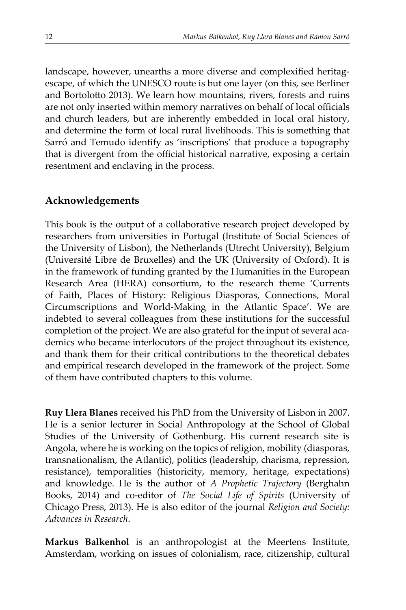landscape, however, unearths a more diverse and complexifed heritagescape, of which the UNESCO route is but one layer (on this, see Berliner and Bortolotto 2013). We learn how mountains, rivers, forests and ruins are not only inserted within memory narratives on behalf of local officials and church leaders, but are inherently embedded in local oral history, and determine the form of local rural livelihoods. This is something that Sarró and Temudo identify as 'inscriptions' that produce a topography that is divergent from the official historical narrative, exposing a certain resentment and enclaving in the process.

# **Acknowledgements**

This book is the output of a collaborative research project developed by researchers from universities in Portugal (Institute of Social Sciences of the University of Lisbon), the Netherlands (Utrecht University), Belgium (Université Libre de Bruxelles) and the UK (University of Oxford). It is in the framework of funding granted by the Humanities in the European Research Area (HERA) consortium, to the research theme 'Currents of Faith, Places of History: Religious Diasporas, Connections, Moral Circumscriptions and World-Making in the Atlantic Space'. We are indebted to several colleagues from these institutions for the successful completion of the project. We are also grateful for the input of several academics who became interlocutors of the project throughout its existence, and thank them for their critical contributions to the theoretical debates and empirical research developed in the framework of the project. Some of them have contributed chapters to this volume.

**Ruy Llera Blanes** received his PhD from the University of Lisbon in 2007. He is a senior lecturer in Social Anthropology at the School of Global Studies of the University of Gothenburg. His current research site is Angola, where he is working on the topics of religion, mobility (diasporas, transnationalism, the Atlantic), politics (leadership, charisma, repression, resistance), temporalities (historicity, memory, heritage, expectations) and knowledge. He is the author of *A Prophetic Trajectory* (Berghahn Books, 2014) and co-editor of *The Social Life of Spirits* (University of Chicago Press, 2013). He is also editor of the journal *Religion and Society: Advances in Research*.

**Markus Balkenhol** is an anthropologist at the Meertens Institute, Amsterdam, working on issues of colonialism, race, citizenship, cultural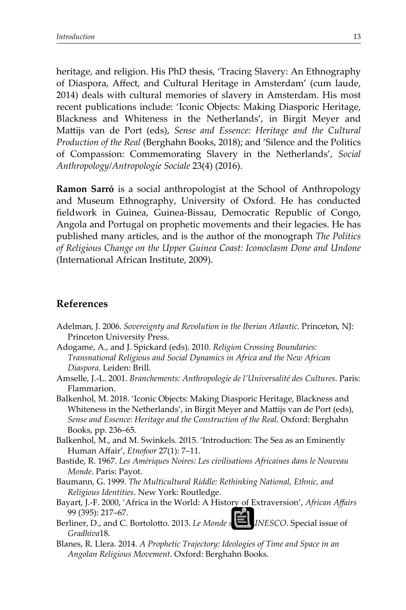heritage, and religion. His PhD thesis, 'Tracing Slavery: An Ethnography of Diaspora, Afect, and Cultural Heritage in Amsterdam' (cum laude, 2014) deals with cultural memories of slavery in Amsterdam. His most recent publications include: 'Iconic Objects: Making Diasporic Heritage, Blackness and Whiteness in the Netherlands', in Birgit Meyer and Matijs van de Port (eds), *Sense and Essence: Heritage and the Cultural Production of the Real* (Berghahn Books, 2018); and 'Silence and the Politics of Compassion: Commemorating Slavery in the Netherlands', *Social Anthropology/Antropologie Sociale* 23(4) (2016).

**Ramon Sarró** is a social anthropologist at the School of Anthropology and Museum Ethnography, University of Oxford. He has conducted feldwork in Guinea, Guinea-Bissau, Democratic Republic of Congo, Angola and Portugal on prophetic movements and their legacies. He has published many articles, and is the author of the monograph *The Politics of Religious Change on the Upper Guinea Coast: Iconoclasm Done and Undone* (International African Institute, 2009).

## **References**

- Adelman, J. 2006. *Sovereignty and Revolution in the Iberian Atlantic*. Princeton, NJ: Princeton University Press.
- Adogame, A., and J. Spickard (eds). 2010. *Religion Crossing Boundaries: Transnational Religious and Social Dynamics in Africa and the New African Diaspora*. Leiden: Brill.
- Amselle, J.-L. 2001. *Branchements: Anthropologie de l'Universalité des Cultures*. Paris: Flammarion.
- Balkenhol, M. 2018. 'Iconic Objects: Making Diasporic Heritage, Blackness and Whiteness in the Netherlands', in Birgit Meyer and Matijs van de Port (eds), *Sense and Essence: Heritage and the Construction of the Real*. Oxford: Berghahn Books, pp. 236–65.
- Balkenhol, M., and M. Swinkels. 2015. 'Introduction: The Sea as an Eminently Human Afair', *Etnofoor* 27(1): 7–11.
- Bastide, R. 1967. *Les Amériques Noires: Les civilisations Africaines dans le Nouveau Monde*. Paris: Payot.
- Baumann, G. 1999. *The Multicultural Riddle: Rethinking National, Ethnic, and Religious Identities*. New York: Routledge.
- Bayart, J.-F. 2000, 'Africa in the World: A History of Extraversion', *African Afairs* 99 (395): 217–67.
- Berliner, D., and C. Bortoloto. 2013. *Le Monde selonl'UNESCO*. Special issue of *Gradhiva*18.
- Blanes, R. Llera. 2014. *A Prophetic Trajectory: Ideologies of Time and Space in an Angolan Religious Movement*. Oxford: Berghahn Books.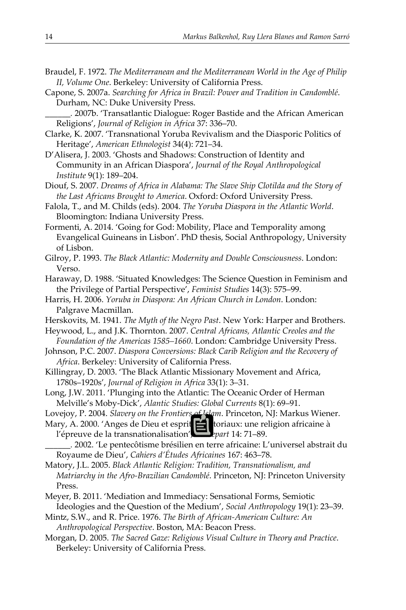- Braudel, F. 1972. *The Mediterranean and the Mediterranean World in the Age of Philip II, Volume One*. Berkeley: University of California Press.
- Capone, S. 2007a. *Searching for Africa in Brazil: Power and Tradition in Candomblé*. Durham, NC: Duke University Press.
	- *\_*\_\_*\_\_\_.*2007b. 'Transatlantic Dialogue: Roger Bastide and the African American Religions', *Journal of Religion in Africa* 37: 336–70.
- Clarke, K. 2007. 'Transnational Yoruba Revivalism and the Diasporic Politics of Heritage', *American Ethnologist* 34(4): 721–34.
- D'Alisera, J. 2003. 'Ghosts and Shadows: Construction of Identity and Community in an African Diaspora', *Journal of the Royal Anthropological Institute* 9(1): 189–204.

Diouf, S. 2007. *Dreams of Africa in Alabama: The Slave Ship Clotilda and the Story of the Last Africans Brought to America*. Oxford: Oxford University Press.

- Falola, T., and M. Childs (eds). 2004. *The Yoruba Diaspora in the Atlantic World*. Bloomington: Indiana University Press.
- Formenti, A. 2014. 'Going for God: Mobility, Place and Temporality among Evangelical Guineans in Lisbon'. PhD thesis, Social Anthropology, University of Lisbon.
- Gilroy, P. 1993. *The Black Atlantic: Modernity and Double Consciousness*. London: Verso.
- Haraway, D. 1988. 'Situated Knowledges: The Science Question in Feminism and the Privilege of Partial Perspective', *Feminist Studies* 14(3): 575–99.
- Harris, H. 2006. *Yoruba in Diaspora: An African Church in London*. London: Palgrave Macmillan.
- Herskovits, M. 1941. *The Myth of the Negro Past*. New York: Harper and Brothers.
- Heywood, L., and J.K. Thornton. 2007. *Central Africans, Atlantic Creoles and the Foundation of the Americas 1585–1660*. London: Cambridge University Press.
- Johnson, P.C. 2007. *Diaspora Conversions: Black Carib Religion and the Recovery of Africa*. Berkeley: University of California Press.
- Killingray, D. 2003. 'The Black Atlantic Missionary Movement and Africa, 1780s–1920s', *Journal of Religion in Africa* 33(1): 3–31.
- Long, J.W. 2011. 'Plunging into the Atlantic: The Oceanic Order of Herman Melville's Moby-Dick', *Alantic Studies: Global Currents* 8(1): 69–91.
- Lovejoy, P. 2004. *Slavery on the Frontiers of Islam*. Princeton, NJ: Markus Wiener.
- Mary, A. 2000. 'Anges de Dieu et esprits territoriaux: une religion africaine à l'épreuve de la transnationalisation', *Autrepart* 14: 71–89.
- *\_*\_\_*\_\_\_.*2002. 'Le pentecôtisme brésilien en terre africaine: L'universel abstrait du Royaume de Dieu', *Cahiers d'Études Africaines* 167: 463–78.
- Matory, J.L. 2005. *Black Atlantic Religion: Tradition, Transnationalism, and Matriarchy in the Afro-Brazilian Candomblé*. Princeton, NJ: Princeton University Press.
- Meyer, B. 2011. 'Mediation and Immediacy: Sensational Forms, Semiotic Ideologies and the Question of the Medium', *Social Anthropology* 19(1): 23–39.
- Mintz, S.W., and R. Price. 1976. *The Birth of African-American Culture: An Anthropological Perspective*. Boston, MA: Beacon Press.
- Morgan, D. 2005. *The Sacred Gaze: Religious Visual Culture in Theory and Practice*. Berkeley: University of California Press.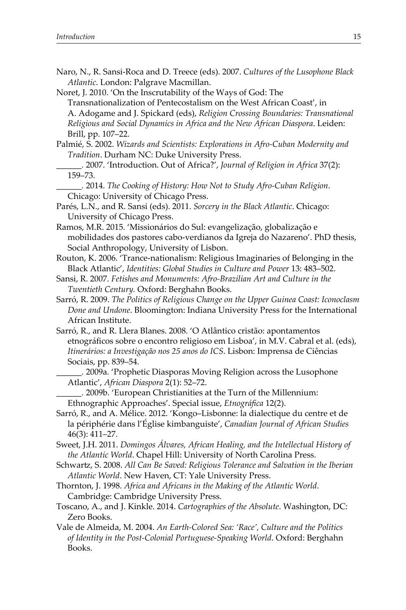- Naro, N., R. Sansi-Roca and D. Treece (eds). 2007. *Cultures of the Lusophone Black Atlantic*. London: Palgrave Macmillan.
- Noret, J. 2010. 'On the Inscrutability of the Ways of God: The Transnationalization of Pentecostalism on the West African Coast', in A. Adogame and J. Spickard (eds), *Religion Crossing Boundaries: Transnational Religious and Social Dynamics in Africa and the New African Diaspora*. Leiden: Brill, pp. 107–22.
- Palmié, S. 2002. *Wizards and Scientists: Explorations in Afro-Cuban Modernity and Tradition*. Durham NC: Duke University Press.
- *\_*\_\_*\_\_\_.*2007. 'Introduction. Out of Africa?', *Journal of Religion in Africa* 37(2): 159–73.
- *\_*\_\_*\_\_\_.*2014. *The Cooking of History: How Not to Study Afro-Cuban Religion*. Chicago: University of Chicago Press.
- Parés, L.N., and R. Sansi (eds). 2011. *Sorcery in the Black Atlantic*. Chicago: University of Chicago Press.
- Ramos, M.R. 2015. 'Missionários do Sul: evangelização, globalização e mobilidades dos pastores cabo-verdianos da Igreja do Nazareno'. PhD thesis, Social Anthropology, University of Lisbon.
- Routon, K. 2006. 'Trance-nationalism: Religious Imaginaries of Belonging in the Black Atlantic', *Identities: Global Studies in Culture and Power* 13: 483–502.
- Sansi, R. 2007. *Fetishes and Monuments: Afro-Brazilian Art and Culture in the Twentieth Century.* Oxford: Berghahn Books.
- Sarró, R. 2009. *The Politics of Religious Change on the Upper Guinea Coast: Iconoclasm Done and Undone*. Bloomington: Indiana University Press for the International African Institute.
- Sarró, R., and R. Llera Blanes. 2008. 'O Atlântico cristão: apontamentos etnográfcos sobre o encontro religioso em Lisboa', in M.V. Cabral et al. (eds), *Itinerários: a Investigação nos 25 anos do ICS*. Lisbon: Imprensa de Ciências Sociais, pp. 839–54.
	- *\_*\_\_*\_\_\_.*2009a. 'Prophetic Diasporas Moving Religion across the Lusophone Atlantic', *African Diaspora* 2(1): 52–72.
	- *\_*\_\_*\_\_\_.*2009b. 'European Christianities at the Turn of the Millennium: Ethnographic Approaches'. Special issue, *Etnográfica* 12(2).
- Sarró, R., and A. Mélice. 2012. 'Kongo–Lisbonne: la dialectique du centre et de la périphérie dans l'Église kimbanguiste', *Canadian Journal of African Studies* 46(3): 411–27.
- Sweet, J.H. 2011. *Domingos Álvares, African Healing, and the Intellectual History of the Atlantic World*. Chapel Hill: University of North Carolina Press.
- Schwart, S. 2008. *All Can Be Saved: Religious Tolerance and Salvation in the Iberian Atlantic World*. New Haven, CT: Yale University Press.
- Thornton, J. 1998. *Africa and Africans in the Making of the Atlantic World*. Cambridge: Cambridge University Press.
- Toscano, A., and J. Kinkle. 2014. *Cartographies of the Absolute*. Washington, DC: Zero Books.
- Vale de Almeida, M. 2004. *An Earth-Colored Sea: 'Race', Culture and the Politics of Identity in the Post-Colonial Portuguese-Speaking World*. Oxford: Berghahn Books.